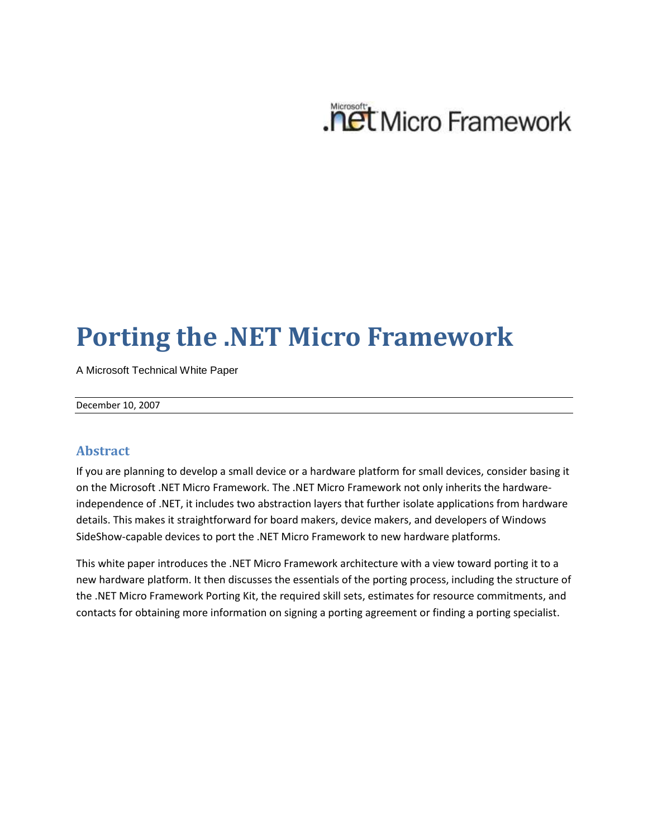

# **Porting the .NET Micro Framework**

A Microsoft Technical White Paper

December 10, 2007

#### **Abstract**

If you are planning to develop a small device or a hardware platform for small devices, consider basing it on the Microsoft .NET Micro Framework. The .NET Micro Framework not only inherits the hardwareindependence of .NET, it includes two abstraction layers that further isolate applications from hardware details. This makes it straightforward for board makers, device makers, and developers of Windows SideShow-capable devices to port the .NET Micro Framework to new hardware platforms.

This white paper introduces the .NET Micro Framework architecture with a view toward porting it to a new hardware platform. It then discusses the essentials of the porting process, including the structure of the .NET Micro Framework Porting Kit, the required skill sets, estimates for resource commitments, and contacts for obtaining more information on signing a porting agreement or finding a porting specialist.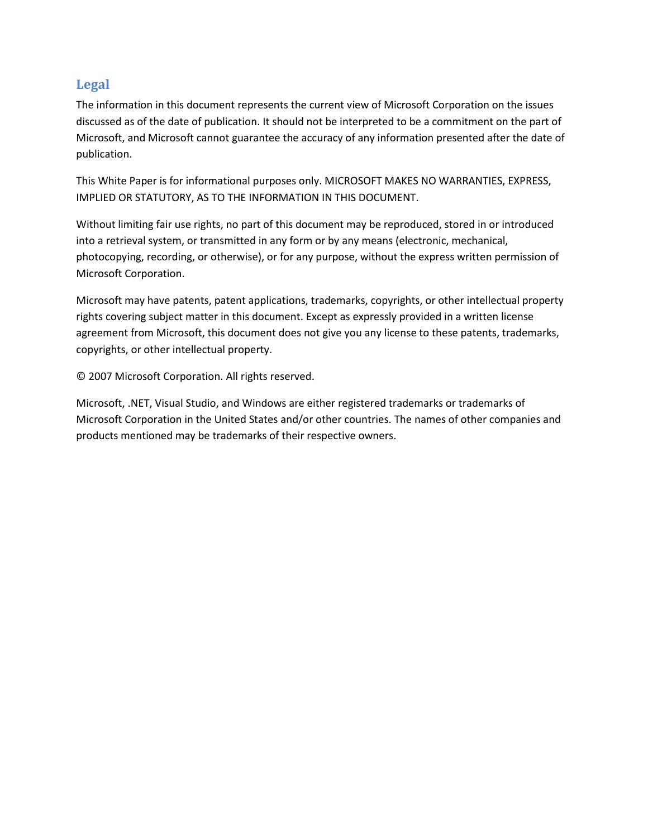#### **Legal**

The information in this document represents the current view of Microsoft Corporation on the issues discussed as of the date of publication. It should not be interpreted to be a commitment on the part of Microsoft, and Microsoft cannot guarantee the accuracy of any information presented after the date of publication.

This White Paper is for informational purposes only. MICROSOFT MAKES NO WARRANTIES, EXPRESS, IMPLIED OR STATUTORY, AS TO THE INFORMATION IN THIS DOCUMENT.

Without limiting fair use rights, no part of this document may be reproduced, stored in or introduced into a retrieval system, or transmitted in any form or by any means (electronic, mechanical, photocopying, recording, or otherwise), or for any purpose, without the express written permission of Microsoft Corporation.

Microsoft may have patents, patent applications, trademarks, copyrights, or other intellectual property rights covering subject matter in this document. Except as expressly provided in a written license agreement from Microsoft, this document does not give you any license to these patents, trademarks, copyrights, or other intellectual property.

© 2007 Microsoft Corporation. All rights reserved.

Microsoft, .NET, Visual Studio, and Windows are either registered trademarks or trademarks of Microsoft Corporation in the United States and/or other countries. The names of other companies and products mentioned may be trademarks of their respective owners.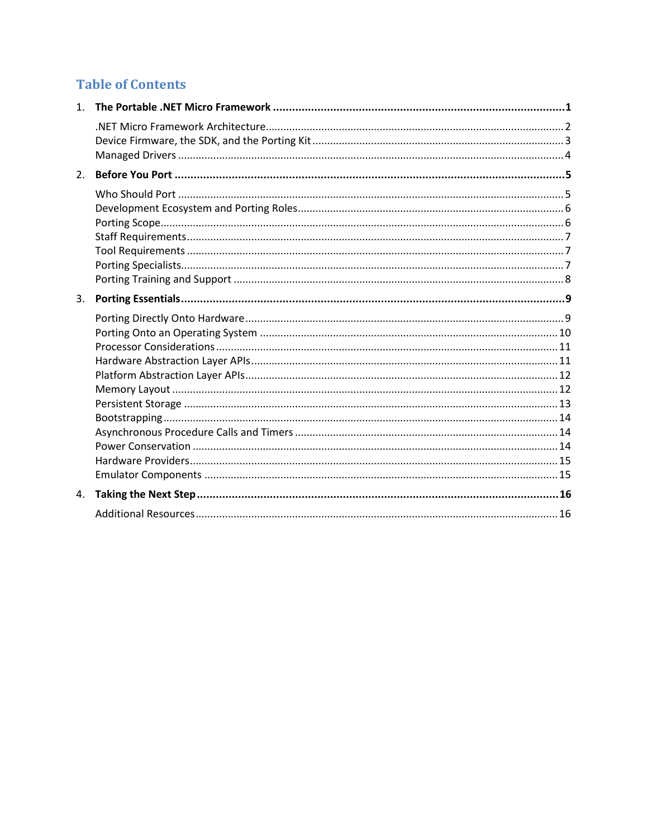## **Table of Contents**

| 1 <sup>1</sup> |  |
|----------------|--|
|                |  |
| 2.             |  |
|                |  |
| 3.             |  |
|                |  |
|                |  |
| 4.             |  |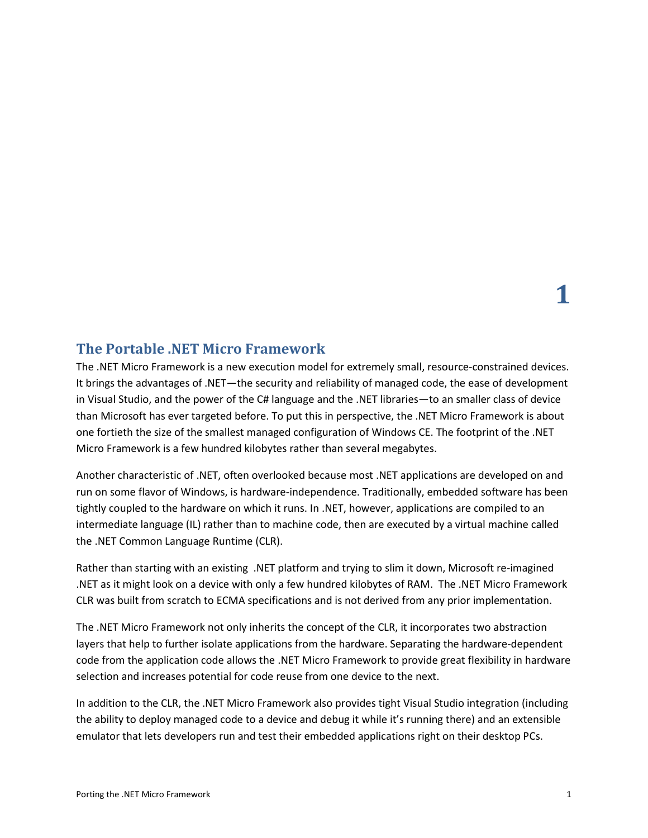#### <span id="page-3-0"></span>**The Portable .NET Micro Framework**

The .NET Micro Framework is a new execution model for extremely small, resource-constrained devices. It brings the advantages of .NET—the security and reliability of managed code, the ease of development in Visual Studio, and the power of the C# language and the .NET libraries—to an smaller class of device than Microsoft has ever targeted before. To put this in perspective, the .NET Micro Framework is about one fortieth the size of the smallest managed configuration of Windows CE. The footprint of the .NET Micro Framework is a few hundred kilobytes rather than several megabytes.

Another characteristic of .NET, often overlooked because most .NET applications are developed on and run on some flavor of Windows, is hardware-independence. Traditionally, embedded software has been tightly coupled to the hardware on which it runs. In .NET, however, applications are compiled to an intermediate language (IL) rather than to machine code, then are executed by a virtual machine called the .NET Common Language Runtime (CLR).

Rather than starting with an existing .NET platform and trying to slim it down, Microsoft re-imagined .NET as it might look on a device with only a few hundred kilobytes of RAM. The .NET Micro Framework CLR was built from scratch to ECMA specifications and is not derived from any prior implementation.

The .NET Micro Framework not only inherits the concept of the CLR, it incorporates two abstraction layers that help to further isolate applications from the hardware. Separating the hardware-dependent code from the application code allows the .NET Micro Framework to provide great flexibility in hardware selection and increases potential for code reuse from one device to the next.

In addition to the CLR, the .NET Micro Framework also provides tight Visual Studio integration (including the ability to deploy managed code to a device and debug it while it's running there) and an extensible emulator that lets developers run and test their embedded applications right on their desktop PCs.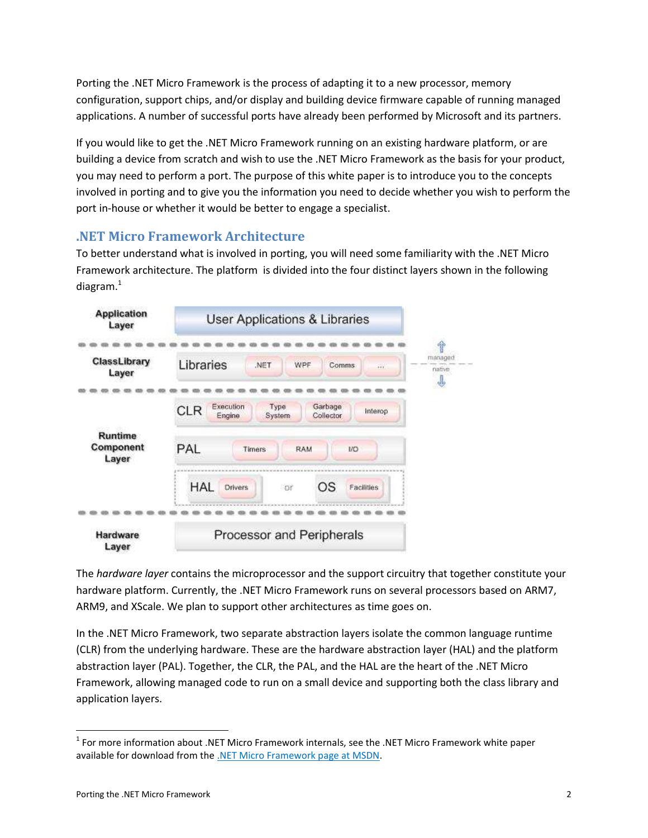Porting the .NET Micro Framework is the process of adapting it to a new processor, memory configuration, support chips, and/or display and building device firmware capable of running managed applications. A number of successful ports have already been performed by Microsoft and its partners.

If you would like to get the .NET Micro Framework running on an existing hardware platform, or are building a device from scratch and wish to use the .NET Micro Framework as the basis for your product, you may need to perform a port. The purpose of this white paper is to introduce you to the concepts involved in porting and to give you the information you need to decide whether you wish to perform the port in-house or whether it would be better to engage a specialist.

## <span id="page-4-0"></span>**.NET Micro Framework Architecture**

To better understand what is involved in porting, you will need some familiarity with the .NET Micro Framework architecture. The platform is divided into the four distinct layers shown in the following diagram. $1$ 



The *hardware layer* contains the microprocessor and the support circuitry that together constitute your hardware platform. Currently, the .NET Micro Framework runs on several processors based on ARM7, ARM9, and XScale. We plan to support other architectures as time goes on.

In the .NET Micro Framework, two separate abstraction layers isolate the common language runtime (CLR) from the underlying hardware. These are the hardware abstraction layer (HAL) and the platform abstraction layer (PAL). Together, the CLR, the PAL, and the HAL are the heart of the .NET Micro Framework, allowing managed code to run on a small device and supporting both the class library and application layers.

l

 $<sup>1</sup>$  For more information about .NET Micro Framework internals, see the .NET Micro Framework white paper</sup> available for download from the [.NET Micro Framework page at MSDN.](http://msdn2.microsoft.com/en-us/embedded/bb267253.aspx)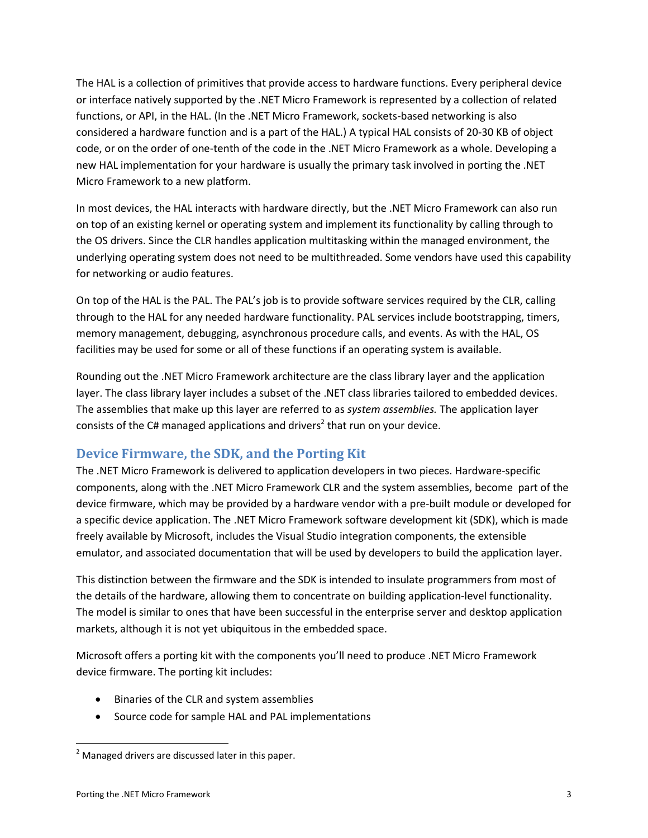The HAL is a collection of primitives that provide access to hardware functions. Every peripheral device or interface natively supported by the .NET Micro Framework is represented by a collection of related functions, or API, in the HAL. (In the .NET Micro Framework, sockets-based networking is also considered a hardware function and is a part of the HAL.) A typical HAL consists of 20-30 KB of object code, or on the order of one-tenth of the code in the .NET Micro Framework as a whole. Developing a new HAL implementation for your hardware is usually the primary task involved in porting the .NET Micro Framework to a new platform.

In most devices, the HAL interacts with hardware directly, but the .NET Micro Framework can also run on top of an existing kernel or operating system and implement its functionality by calling through to the OS drivers. Since the CLR handles application multitasking within the managed environment, the underlying operating system does not need to be multithreaded. Some vendors have used this capability for networking or audio features.

On top of the HAL is the PAL. The PAL's job is to provide software services required by the CLR, calling through to the HAL for any needed hardware functionality. PAL services include bootstrapping, timers, memory management, debugging, asynchronous procedure calls, and events. As with the HAL, OS facilities may be used for some or all of these functions if an operating system is available.

Rounding out the .NET Micro Framework architecture are the class library layer and the application layer. The class library layer includes a subset of the .NET class libraries tailored to embedded devices. The assemblies that make up this layer are referred to as *system assemblies.* The application layer consists of the C# managed applications and drivers<sup>2</sup> that run on your device.

## <span id="page-5-0"></span>**Device Firmware, the SDK, and the Porting Kit**

The .NET Micro Framework is delivered to application developers in two pieces. Hardware-specific components, along with the .NET Micro Framework CLR and the system assemblies, become part of the device firmware, which may be provided by a hardware vendor with a pre-built module or developed for a specific device application. The .NET Micro Framework software development kit (SDK), which is made freely available by Microsoft, includes the Visual Studio integration components, the extensible emulator, and associated documentation that will be used by developers to build the application layer.

This distinction between the firmware and the SDK is intended to insulate programmers from most of the details of the hardware, allowing them to concentrate on building application-level functionality. The model is similar to ones that have been successful in the enterprise server and desktop application markets, although it is not yet ubiquitous in the embedded space.

Microsoft offers a porting kit with the components you'll need to produce .NET Micro Framework device firmware. The porting kit includes:

- Binaries of the CLR and system assemblies
- Source code for sample HAL and PAL implementations

 $\overline{\phantom{a}}$  $2$  Managed drivers are discussed later in this paper.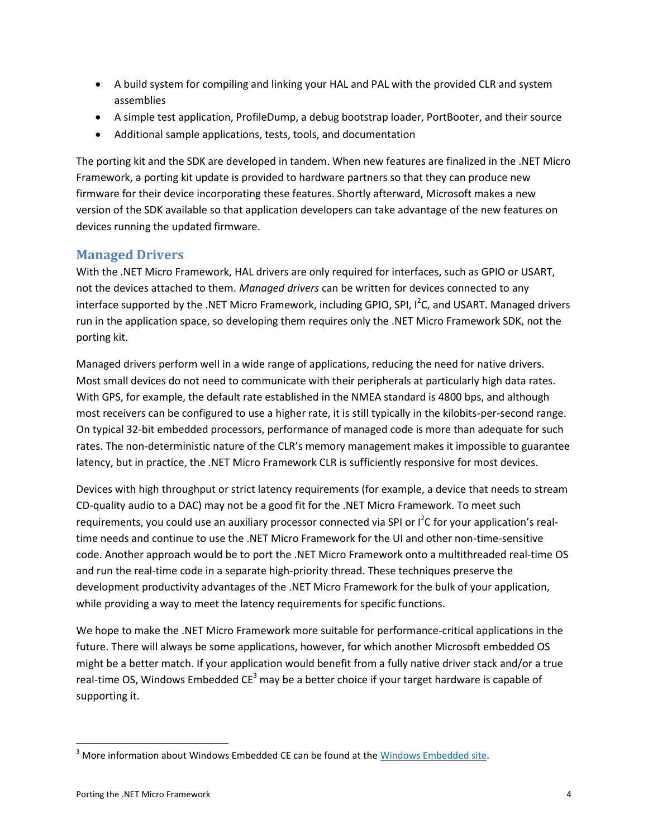- A build system for compiling and linking your HAL and PAL with the provided CLR and system assemblies
- A simple test application, ProfileDump, a debug bootstrap loader, PortBooter, and their source
- Additional sample applications, tests, tools, and documentation

The porting kit and the SDK are developed in tandem. When new features are finalized in the .NET Micro Framework, a porting kit update is provided to hardware partners so that they can produce new firmware for their device incorporating these features. Shortly afterward, Microsoft makes a new version of the SDK available so that application developers can take advantage of the new features on devices running the updated firmware.

#### <span id="page-6-0"></span>**Managed Drivers**

With the .NET Micro Framework, HAL drivers are only required for interfaces, such as GPIO or USART, not the devices attached to them. *Managed drivers* can be written for devices connected to any interface supported by the .NET Micro Framework, including GPIO, SPI, I<sup>2</sup>C, and USART. Managed drivers run in the application space, so developing them requires only the .NET Micro Framework SDK, not the porting kit.

Managed drivers perform well in a wide range of applications, reducing the need for native drivers. Most small devices do not need to communicate with their peripherals at particularly high data rates. With GPS, for example, the default rate established in the NMEA standard is 4800 bps, and although most receivers can be configured to use a higher rate, it is still typically in the kilobits-per-second range. On typical 32-bit embedded processors, performance of managed code is more than adequate for such rates. The non-deterministic nature of the CLR's memory management makes it impossible to guarantee latency, but in practice, the .NET Micro Framework CLR is sufficiently responsive for most devices.

Devices with high throughput or strict latency requirements (for example, a device that needs to stream CD-quality audio to a DAC) may not be a good fit for the .NET Micro Framework. To meet such requirements, you could use an auxiliary processor connected via SPI or I<sup>2</sup>C for your application's realtime needs and continue to use the .NET Micro Framework for the UI and other non-time-sensitive code. Another approach would be to port the .NET Micro Framework onto a multithreaded real-time OS and run the real-time code in a separate high-priority thread. These techniques preserve the development productivity advantages of the .NET Micro Framework for the bulk of your application, while providing a way to meet the latency requirements for specific functions.

We hope to make the .NET Micro Framework more suitable for performance-critical applications in the future. There will always be some applications, however, for which another Microsoft embedded OS might be a better match. If your application would benefit from a fully native driver stack and/or a true real-time OS, Windows Embedded  $CE<sup>3</sup>$  may be a better choice if your target hardware is capable of supporting it.

 $\overline{\phantom{a}}$ 

 $3$  More information about Windows Embedded CE can be found at the  $Windows$  Embedded site.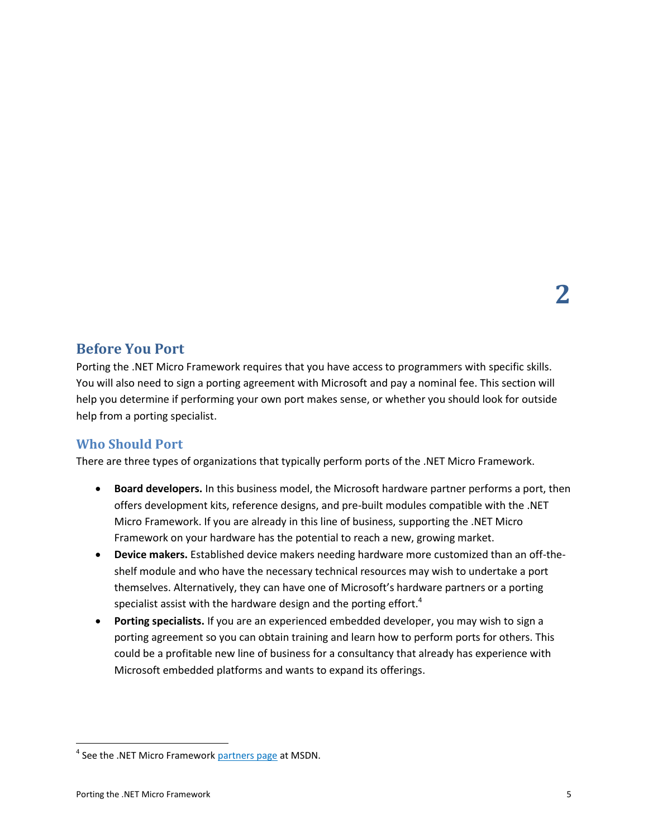## <span id="page-7-0"></span>**Before You Port**

Porting the .NET Micro Framework requires that you have access to programmers with specific skills. You will also need to sign a porting agreement with Microsoft and pay a nominal fee. This section will help you determine if performing your own port makes sense, or whether you should look for outside help from a porting specialist.

## <span id="page-7-1"></span>**Who Should Port**

There are three types of organizations that typically perform ports of the .NET Micro Framework.

- **Board developers.** In this business model, the Microsoft hardware partner performs a port, then offers development kits, reference designs, and pre-built modules compatible with the .NET Micro Framework. If you are already in this line of business, supporting the .NET Micro Framework on your hardware has the potential to reach a new, growing market.
- **Device makers.** Established device makers needing hardware more customized than an off-theshelf module and who have the necessary technical resources may wish to undertake a port themselves. Alternatively, they can have one of Microsoft's hardware partners or a porting specialist assist with the hardware design and the porting effort.<sup>4</sup>
- **Porting specialists.** If you are an experienced embedded developer, you may wish to sign a porting agreement so you can obtain training and learn how to perform ports for others. This could be a profitable new line of business for a consultancy that already has experience with Microsoft embedded platforms and wants to expand its offerings.

 $\overline{\phantom{a}}$ 

<sup>&</sup>lt;sup>4</sup> See the .NET Micro Framework [partners page](http://msdn2.microsoft.com/en-us/embedded/bb267307.aspx) at MSDN.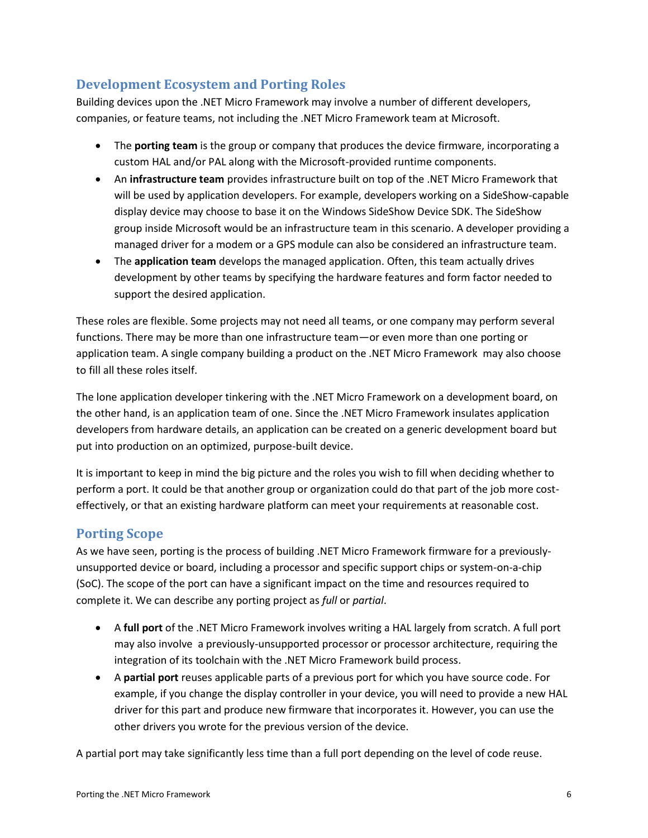## <span id="page-8-0"></span>**Development Ecosystem and Porting Roles**

Building devices upon the .NET Micro Framework may involve a number of different developers, companies, or feature teams, not including the .NET Micro Framework team at Microsoft.

- The **porting team** is the group or company that produces the device firmware, incorporating a custom HAL and/or PAL along with the Microsoft-provided runtime components.
- An **infrastructure team** provides infrastructure built on top of the .NET Micro Framework that will be used by application developers. For example, developers working on a SideShow-capable display device may choose to base it on the Windows SideShow Device SDK. The SideShow group inside Microsoft would be an infrastructure team in this scenario. A developer providing a managed driver for a modem or a GPS module can also be considered an infrastructure team.
- The **application team** develops the managed application. Often, this team actually drives development by other teams by specifying the hardware features and form factor needed to support the desired application.

These roles are flexible. Some projects may not need all teams, or one company may perform several functions. There may be more than one infrastructure team—or even more than one porting or application team. A single company building a product on the .NET Micro Framework may also choose to fill all these roles itself.

The lone application developer tinkering with the .NET Micro Framework on a development board, on the other hand, is an application team of one. Since the .NET Micro Framework insulates application developers from hardware details, an application can be created on a generic development board but put into production on an optimized, purpose-built device.

It is important to keep in mind the big picture and the roles you wish to fill when deciding whether to perform a port. It could be that another group or organization could do that part of the job more costeffectively, or that an existing hardware platform can meet your requirements at reasonable cost.

## <span id="page-8-1"></span>**Porting Scope**

As we have seen, porting is the process of building .NET Micro Framework firmware for a previouslyunsupported device or board, including a processor and specific support chips or system-on-a-chip (SoC). The scope of the port can have a significant impact on the time and resources required to complete it. We can describe any porting project as *full* or *partial*.

- A **full port** of the .NET Micro Framework involves writing a HAL largely from scratch. A full port may also involve a previously-unsupported processor or processor architecture, requiring the integration of its toolchain with the .NET Micro Framework build process.
- A **partial port** reuses applicable parts of a previous port for which you have source code. For example, if you change the display controller in your device, you will need to provide a new HAL driver for this part and produce new firmware that incorporates it. However, you can use the other drivers you wrote for the previous version of the device.

A partial port may take significantly less time than a full port depending on the level of code reuse.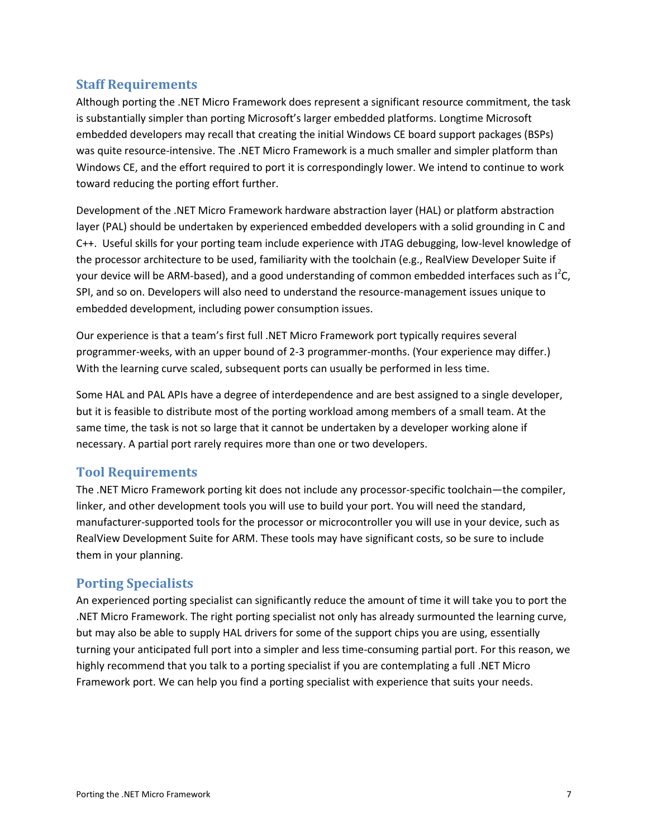#### <span id="page-9-0"></span>**Staff Requirements**

Although porting the .NET Micro Framework does represent a significant resource commitment, the task is substantially simpler than porting Microsoft's larger embedded platforms. Longtime Microsoft embedded developers may recall that creating the initial Windows CE board support packages (BSPs) was quite resource-intensive. The .NET Micro Framework is a much smaller and simpler platform than Windows CE, and the effort required to port it is correspondingly lower. We intend to continue to work toward reducing the porting effort further.

Development of the .NET Micro Framework hardware abstraction layer (HAL) or platform abstraction layer (PAL) should be undertaken by experienced embedded developers with a solid grounding in C and C++. Useful skills for your porting team include experience with JTAG debugging, low-level knowledge of the processor architecture to be used, familiarity with the toolchain (e.g., RealView Developer Suite if your device will be ARM-based), and a good understanding of common embedded interfaces such as I<sup>2</sup>C, SPI, and so on. Developers will also need to understand the resource-management issues unique to embedded development, including power consumption issues.

Our experience is that a team's first full .NET Micro Framework port typically requires several programmer-weeks, with an upper bound of 2-3 programmer-months. (Your experience may differ.) With the learning curve scaled, subsequent ports can usually be performed in less time.

Some HAL and PAL APIs have a degree of interdependence and are best assigned to a single developer, but it is feasible to distribute most of the porting workload among members of a small team. At the same time, the task is not so large that it cannot be undertaken by a developer working alone if necessary. A partial port rarely requires more than one or two developers.

#### <span id="page-9-1"></span>**Tool Requirements**

The .NET Micro Framework porting kit does not include any processor-specific toolchain—the compiler, linker, and other development tools you will use to build your port. You will need the standard, manufacturer-supported tools for the processor or microcontroller you will use in your device, such as RealView Development Suite for ARM. These tools may have significant costs, so be sure to include them in your planning.

## <span id="page-9-2"></span>**Porting Specialists**

An experienced porting specialist can significantly reduce the amount of time it will take you to port the .NET Micro Framework. The right porting specialist not only has already surmounted the learning curve, but may also be able to supply HAL drivers for some of the support chips you are using, essentially turning your anticipated full port into a simpler and less time-consuming partial port. For this reason, we highly recommend that you talk to a porting specialist if you are contemplating a full .NET Micro Framework port. We can help you find a porting specialist with experience that suits your needs.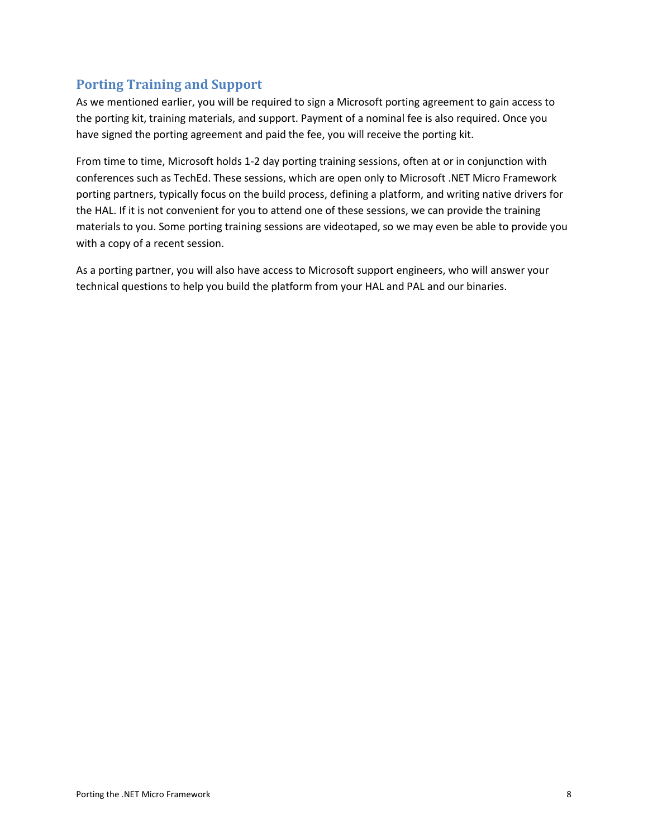## <span id="page-10-0"></span>**Porting Training and Support**

As we mentioned earlier, you will be required to sign a Microsoft porting agreement to gain access to the porting kit, training materials, and support. Payment of a nominal fee is also required. Once you have signed the porting agreement and paid the fee, you will receive the porting kit.

From time to time, Microsoft holds 1-2 day porting training sessions, often at or in conjunction with conferences such as TechEd. These sessions, which are open only to Microsoft .NET Micro Framework porting partners, typically focus on the build process, defining a platform, and writing native drivers for the HAL. If it is not convenient for you to attend one of these sessions, we can provide the training materials to you. Some porting training sessions are videotaped, so we may even be able to provide you with a copy of a recent session.

As a porting partner, you will also have access to Microsoft support engineers, who will answer your technical questions to help you build the platform from your HAL and PAL and our binaries.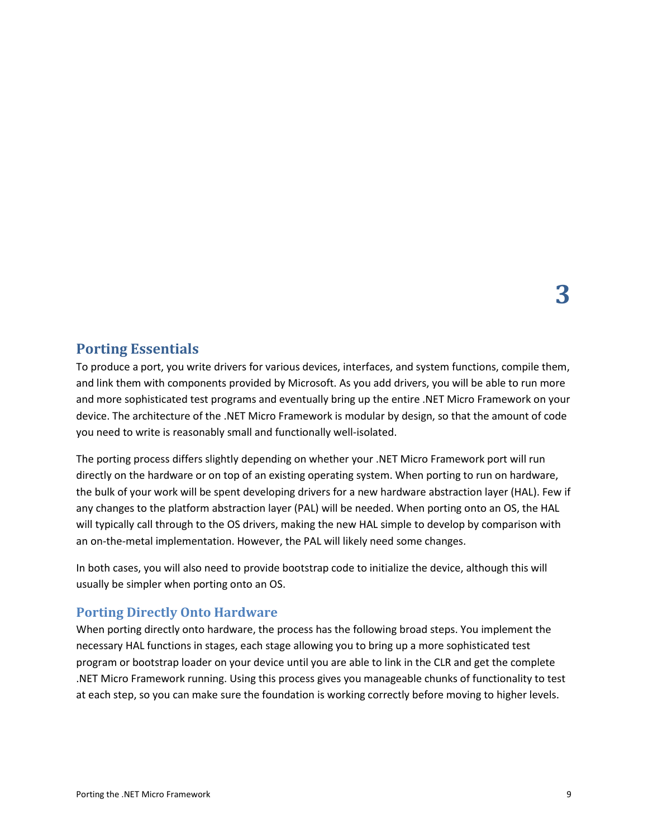## <span id="page-11-0"></span>**Porting Essentials**

To produce a port, you write drivers for various devices, interfaces, and system functions, compile them, and link them with components provided by Microsoft. As you add drivers, you will be able to run more and more sophisticated test programs and eventually bring up the entire .NET Micro Framework on your device. The architecture of the .NET Micro Framework is modular by design, so that the amount of code you need to write is reasonably small and functionally well-isolated.

The porting process differs slightly depending on whether your .NET Micro Framework port will run directly on the hardware or on top of an existing operating system. When porting to run on hardware, the bulk of your work will be spent developing drivers for a new hardware abstraction layer (HAL). Few if any changes to the platform abstraction layer (PAL) will be needed. When porting onto an OS, the HAL will typically call through to the OS drivers, making the new HAL simple to develop by comparison with an on-the-metal implementation. However, the PAL will likely need some changes.

In both cases, you will also need to provide bootstrap code to initialize the device, although this will usually be simpler when porting onto an OS.

#### <span id="page-11-1"></span>**Porting Directly Onto Hardware**

When porting directly onto hardware, the process has the following broad steps. You implement the necessary HAL functions in stages, each stage allowing you to bring up a more sophisticated test program or bootstrap loader on your device until you are able to link in the CLR and get the complete .NET Micro Framework running. Using this process gives you manageable chunks of functionality to test at each step, so you can make sure the foundation is working correctly before moving to higher levels.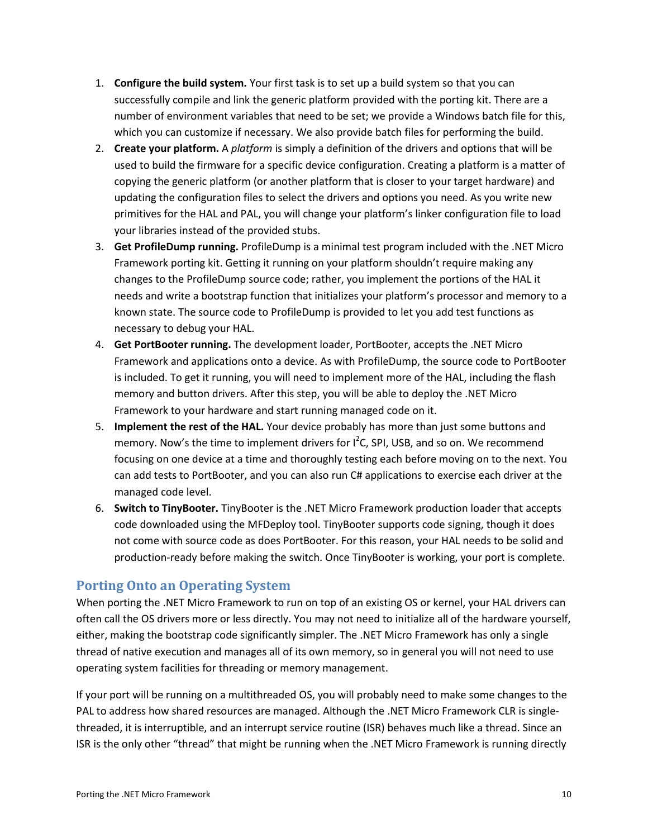- 1. **Configure the build system.** Your first task is to set up a build system so that you can successfully compile and link the generic platform provided with the porting kit. There are a number of environment variables that need to be set; we provide a Windows batch file for this, which you can customize if necessary. We also provide batch files for performing the build.
- 2. **Create your platform.** A *platform* is simply a definition of the drivers and options that will be used to build the firmware for a specific device configuration. Creating a platform is a matter of copying the generic platform (or another platform that is closer to your target hardware) and updating the configuration files to select the drivers and options you need. As you write new primitives for the HAL and PAL, you will change your platform's linker configuration file to load your libraries instead of the provided stubs.
- 3. **Get ProfileDump running.** ProfileDump is a minimal test program included with the .NET Micro Framework porting kit. Getting it running on your platform shouldn't require making any changes to the ProfileDump source code; rather, you implement the portions of the HAL it needs and write a bootstrap function that initializes your platform's processor and memory to a known state. The source code to ProfileDump is provided to let you add test functions as necessary to debug your HAL.
- 4. **Get PortBooter running.** The development loader, PortBooter, accepts the .NET Micro Framework and applications onto a device. As with ProfileDump, the source code to PortBooter is included. To get it running, you will need to implement more of the HAL, including the flash memory and button drivers. After this step, you will be able to deploy the .NET Micro Framework to your hardware and start running managed code on it.
- 5. **Implement the rest of the HAL.** Your device probably has more than just some buttons and memory. Now's the time to implement drivers for  $I^2C$ , SPI, USB, and so on. We recommend focusing on one device at a time and thoroughly testing each before moving on to the next. You can add tests to PortBooter, and you can also run C# applications to exercise each driver at the managed code level.
- 6. **Switch to TinyBooter.** TinyBooter is the .NET Micro Framework production loader that accepts code downloaded using the MFDeploy tool. TinyBooter supports code signing, though it does not come with source code as does PortBooter. For this reason, your HAL needs to be solid and production-ready before making the switch. Once TinyBooter is working, your port is complete.

#### <span id="page-12-0"></span>**Porting Onto an Operating System**

When porting the .NET Micro Framework to run on top of an existing OS or kernel, your HAL drivers can often call the OS drivers more or less directly. You may not need to initialize all of the hardware yourself, either, making the bootstrap code significantly simpler. The .NET Micro Framework has only a single thread of native execution and manages all of its own memory, so in general you will not need to use operating system facilities for threading or memory management.

If your port will be running on a multithreaded OS, you will probably need to make some changes to the PAL to address how shared resources are managed. Although the .NET Micro Framework CLR is singlethreaded, it is interruptible, and an interrupt service routine (ISR) behaves much like a thread. Since an ISR is the only other "thread" that might be running when the .NET Micro Framework is running directly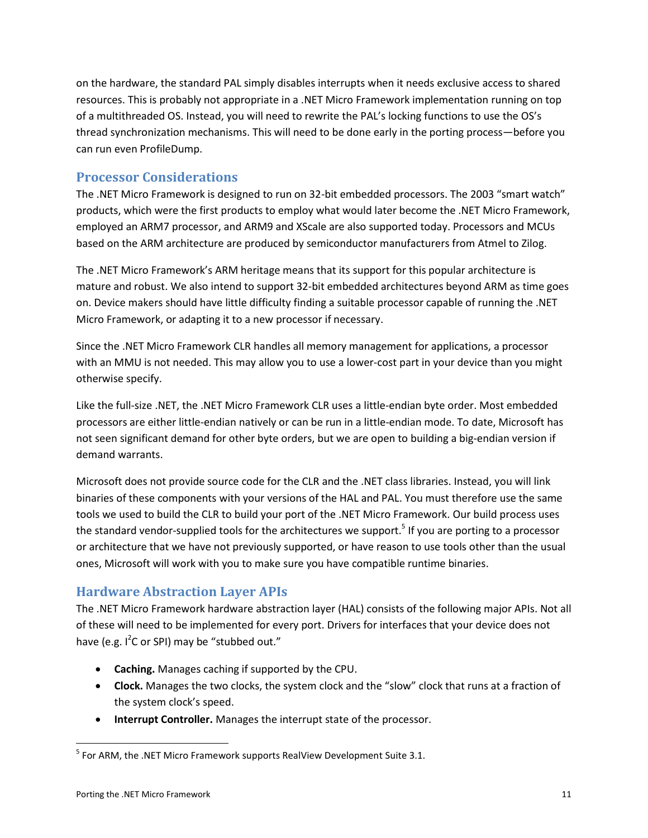on the hardware, the standard PAL simply disables interrupts when it needs exclusive access to shared resources. This is probably not appropriate in a .NET Micro Framework implementation running on top of a multithreaded OS. Instead, you will need to rewrite the PAL's locking functions to use the OS's thread synchronization mechanisms. This will need to be done early in the porting process—before you can run even ProfileDump.

#### <span id="page-13-0"></span>**Processor Considerations**

The .NET Micro Framework is designed to run on 32-bit embedded processors. The 2003 "smart watch" products, which were the first products to employ what would later become the .NET Micro Framework, employed an ARM7 processor, and ARM9 and XScale are also supported today. Processors and MCUs based on the ARM architecture are produced by semiconductor manufacturers from Atmel to Zilog.

The .NET Micro Framework's ARM heritage means that its support for this popular architecture is mature and robust. We also intend to support 32-bit embedded architectures beyond ARM as time goes on. Device makers should have little difficulty finding a suitable processor capable of running the .NET Micro Framework, or adapting it to a new processor if necessary.

Since the .NET Micro Framework CLR handles all memory management for applications, a processor with an MMU is not needed. This may allow you to use a lower-cost part in your device than you might otherwise specify.

Like the full-size .NET, the .NET Micro Framework CLR uses a little-endian byte order. Most embedded processors are either little-endian natively or can be run in a little-endian mode. To date, Microsoft has not seen significant demand for other byte orders, but we are open to building a big-endian version if demand warrants.

Microsoft does not provide source code for the CLR and the .NET class libraries. Instead, you will link binaries of these components with your versions of the HAL and PAL. You must therefore use the same tools we used to build the CLR to build your port of the .NET Micro Framework. Our build process uses the standard vendor-supplied tools for the architectures we support.<sup>5</sup> If you are porting to a processor or architecture that we have not previously supported, or have reason to use tools other than the usual ones, Microsoft will work with you to make sure you have compatible runtime binaries.

#### <span id="page-13-1"></span>**Hardware Abstraction Layer APIs**

The .NET Micro Framework hardware abstraction layer (HAL) consists of the following major APIs. Not all of these will need to be implemented for every port. Drivers for interfaces that your device does not have (e.g. I<sup>2</sup>C or SPI) may be "stubbed out."

- **Caching.** Manages caching if supported by the CPU.
- **Clock.** Manages the two clocks, the system clock and the "slow" clock that runs at a fraction of the system clock's speed.
- **Interrupt Controller.** Manages the interrupt state of the processor.

 $\overline{\phantom{a}}$ 

 $<sup>5</sup>$  For ARM, the .NET Micro Framework supports RealView Development Suite 3.1.</sup>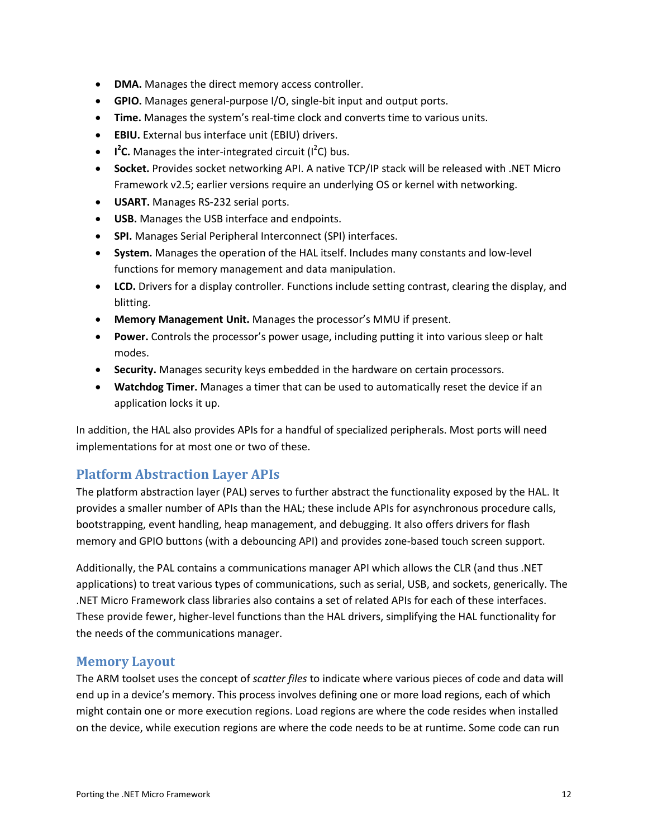- **DMA.** Manages the direct memory access controller.
- **GPIO.** Manages general-purpose I/O, single-bit input and output ports.
- **Time.** Manages the system's real-time clock and converts time to various units.
- **EBIU.** External bus interface unit (EBIU) drivers.
- **I<sup>2</sup>C.** Manages the inter-integrated circuit (I<sup>2</sup>C) bus.
- **Socket.** Provides socket networking API. A native TCP/IP stack will be released with .NET Micro Framework v2.5; earlier versions require an underlying OS or kernel with networking.
- **USART.** Manages RS-232 serial ports.
- **USB.** Manages the USB interface and endpoints.
- **SPI.** Manages Serial Peripheral Interconnect (SPI) interfaces.
- **System.** Manages the operation of the HAL itself. Includes many constants and low-level functions for memory management and data manipulation.
- **LCD.** Drivers for a display controller. Functions include setting contrast, clearing the display, and blitting.
- **Memory Management Unit.** Manages the processor's MMU if present.
- **Power.** Controls the processor's power usage, including putting it into various sleep or halt modes.
- **Security.** Manages security keys embedded in the hardware on certain processors.
- **Watchdog Timer.** Manages a timer that can be used to automatically reset the device if an application locks it up.

In addition, the HAL also provides APIs for a handful of specialized peripherals. Most ports will need implementations for at most one or two of these.

#### <span id="page-14-0"></span>**Platform Abstraction Layer APIs**

The platform abstraction layer (PAL) serves to further abstract the functionality exposed by the HAL. It provides a smaller number of APIs than the HAL; these include APIs for asynchronous procedure calls, bootstrapping, event handling, heap management, and debugging. It also offers drivers for flash memory and GPIO buttons (with a debouncing API) and provides zone-based touch screen support.

Additionally, the PAL contains a communications manager API which allows the CLR (and thus .NET applications) to treat various types of communications, such as serial, USB, and sockets, generically. The .NET Micro Framework class libraries also contains a set of related APIs for each of these interfaces. These provide fewer, higher-level functions than the HAL drivers, simplifying the HAL functionality for the needs of the communications manager.

#### <span id="page-14-1"></span>**Memory Layout**

The ARM toolset uses the concept of *scatter files* to indicate where various pieces of code and data will end up in a device's memory. This process involves defining one or more load regions, each of which might contain one or more execution regions. Load regions are where the code resides when installed on the device, while execution regions are where the code needs to be at runtime. Some code can run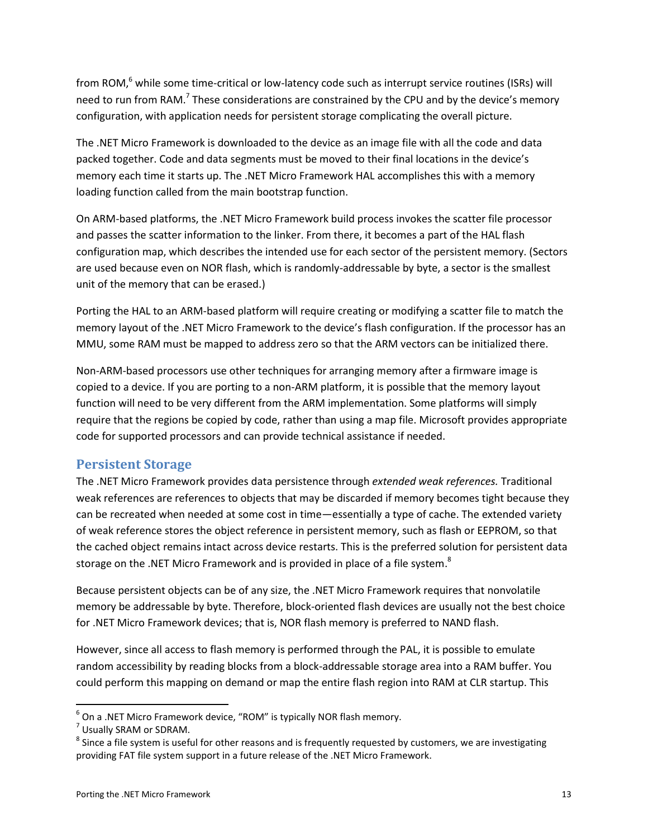from ROM,<sup>6</sup> while some time-critical or low-latency code such as interrupt service routines (ISRs) will need to run from RAM.<sup>7</sup> These considerations are constrained by the CPU and by the device's memory configuration, with application needs for persistent storage complicating the overall picture.

The .NET Micro Framework is downloaded to the device as an image file with all the code and data packed together. Code and data segments must be moved to their final locations in the device's memory each time it starts up. The .NET Micro Framework HAL accomplishes this with a memory loading function called from the main bootstrap function.

On ARM-based platforms, the .NET Micro Framework build process invokes the scatter file processor and passes the scatter information to the linker. From there, it becomes a part of the HAL flash configuration map, which describes the intended use for each sector of the persistent memory. (Sectors are used because even on NOR flash, which is randomly-addressable by byte, a sector is the smallest unit of the memory that can be erased.)

Porting the HAL to an ARM-based platform will require creating or modifying a scatter file to match the memory layout of the .NET Micro Framework to the device's flash configuration. If the processor has an MMU, some RAM must be mapped to address zero so that the ARM vectors can be initialized there.

Non-ARM-based processors use other techniques for arranging memory after a firmware image is copied to a device. If you are porting to a non-ARM platform, it is possible that the memory layout function will need to be very different from the ARM implementation. Some platforms will simply require that the regions be copied by code, rather than using a map file. Microsoft provides appropriate code for supported processors and can provide technical assistance if needed.

## <span id="page-15-0"></span>**Persistent Storage**

The .NET Micro Framework provides data persistence through *extended weak references.* Traditional weak references are references to objects that may be discarded if memory becomes tight because they can be recreated when needed at some cost in time—essentially a type of cache. The extended variety of weak reference stores the object reference in persistent memory, such as flash or EEPROM, so that the cached object remains intact across device restarts. This is the preferred solution for persistent data storage on the .NET Micro Framework and is provided in place of a file system.<sup>8</sup>

Because persistent objects can be of any size, the .NET Micro Framework requires that nonvolatile memory be addressable by byte. Therefore, block-oriented flash devices are usually not the best choice for .NET Micro Framework devices; that is, NOR flash memory is preferred to NAND flash.

However, since all access to flash memory is performed through the PAL, it is possible to emulate random accessibility by reading blocks from a block-addressable storage area into a RAM buffer. You could perform this mapping on demand or map the entire flash region into RAM at CLR startup. This

 $\overline{a}$ 

 $^6$  On a .NET Micro Framework device, "ROM" is typically NOR flash memory.

<sup>&</sup>lt;sup>7</sup> Usually SRAM or SDRAM.

 $^8$  Since a file system is useful for other reasons and is frequently requested by customers, we are investigating providing FAT file system support in a future release of the .NET Micro Framework.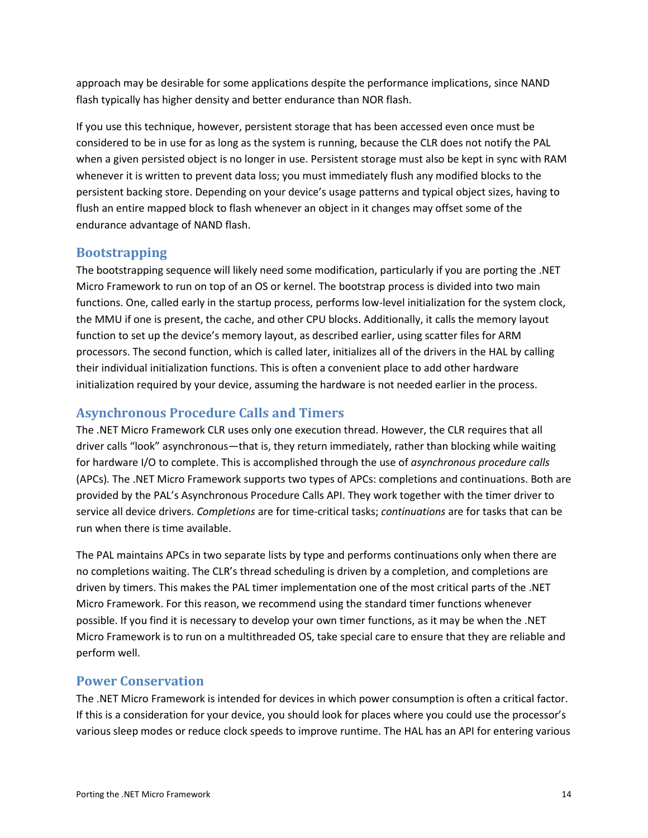approach may be desirable for some applications despite the performance implications, since NAND flash typically has higher density and better endurance than NOR flash.

If you use this technique, however, persistent storage that has been accessed even once must be considered to be in use for as long as the system is running, because the CLR does not notify the PAL when a given persisted object is no longer in use. Persistent storage must also be kept in sync with RAM whenever it is written to prevent data loss; you must immediately flush any modified blocks to the persistent backing store. Depending on your device's usage patterns and typical object sizes, having to flush an entire mapped block to flash whenever an object in it changes may offset some of the endurance advantage of NAND flash.

#### <span id="page-16-0"></span>**Bootstrapping**

The bootstrapping sequence will likely need some modification, particularly if you are porting the .NET Micro Framework to run on top of an OS or kernel. The bootstrap process is divided into two main functions. One, called early in the startup process, performs low-level initialization for the system clock, the MMU if one is present, the cache, and other CPU blocks. Additionally, it calls the memory layout function to set up the device's memory layout, as described earlier, using scatter files for ARM processors. The second function, which is called later, initializes all of the drivers in the HAL by calling their individual initialization functions. This is often a convenient place to add other hardware initialization required by your device, assuming the hardware is not needed earlier in the process.

#### <span id="page-16-1"></span>**Asynchronous Procedure Calls and Timers**

The .NET Micro Framework CLR uses only one execution thread. However, the CLR requires that all driver calls "look" asynchronous—that is, they return immediately, rather than blocking while waiting for hardware I/O to complete. This is accomplished through the use of *asynchronous procedure calls* (APCs)*.* The .NET Micro Framework supports two types of APCs: completions and continuations. Both are provided by the PAL's Asynchronous Procedure Calls API. They work together with the timer driver to service all device drivers. *Completions* are for time-critical tasks; *continuations* are for tasks that can be run when there is time available.

The PAL maintains APCs in two separate lists by type and performs continuations only when there are no completions waiting. The CLR's thread scheduling is driven by a completion, and completions are driven by timers. This makes the PAL timer implementation one of the most critical parts of the .NET Micro Framework. For this reason, we recommend using the standard timer functions whenever possible. If you find it is necessary to develop your own timer functions, as it may be when the .NET Micro Framework is to run on a multithreaded OS, take special care to ensure that they are reliable and perform well.

#### <span id="page-16-2"></span>**Power Conservation**

The .NET Micro Framework is intended for devices in which power consumption is often a critical factor. If this is a consideration for your device, you should look for places where you could use the processor's various sleep modes or reduce clock speeds to improve runtime. The HAL has an API for entering various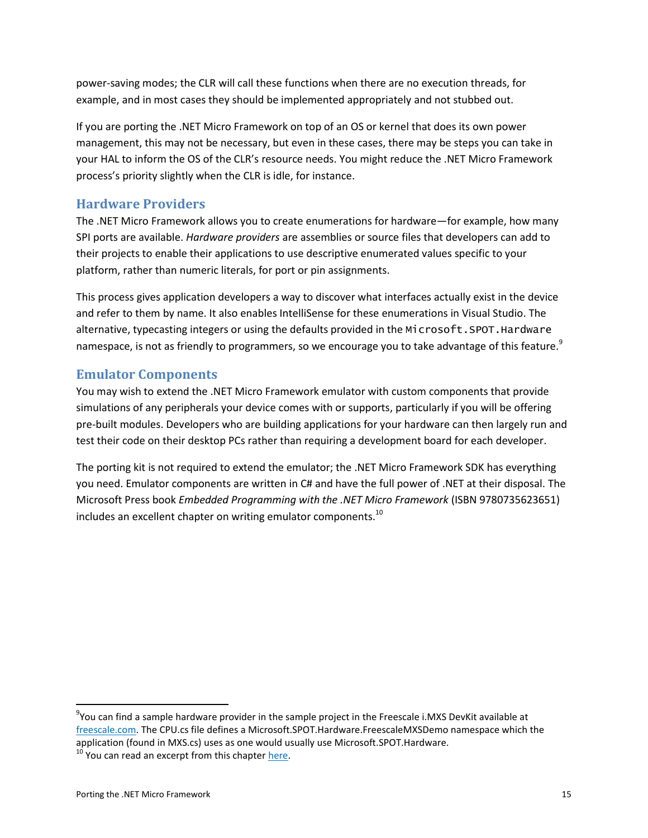power-saving modes; the CLR will call these functions when there are no execution threads, for example, and in most cases they should be implemented appropriately and not stubbed out.

If you are porting the .NET Micro Framework on top of an OS or kernel that does its own power management, this may not be necessary, but even in these cases, there may be steps you can take in your HAL to inform the OS of the CLR's resource needs. You might reduce the .NET Micro Framework process's priority slightly when the CLR is idle, for instance.

#### <span id="page-17-0"></span>**Hardware Providers**

The .NET Micro Framework allows you to create enumerations for hardware—for example, how many SPI ports are available. *Hardware providers* are assemblies or source files that developers can add to their projects to enable their applications to use descriptive enumerated values specific to your platform, rather than numeric literals, for port or pin assignments.

This process gives application developers a way to discover what interfaces actually exist in the device and refer to them by name. It also enables IntelliSense for these enumerations in Visual Studio. The alternative, typecasting integers or using the defaults provided in the Microsoft.SPOT.Hardware namespace, is not as friendly to programmers, so we encourage you to take advantage of this feature.<sup>9</sup>

#### <span id="page-17-1"></span>**Emulator Components**

You may wish to extend the .NET Micro Framework emulator with custom components that provide simulations of any peripherals your device comes with or supports, particularly if you will be offering pre-built modules. Developers who are building applications for your hardware can then largely run and test their code on their desktop PCs rather than requiring a development board for each developer.

The porting kit is not required to extend the emulator; the .NET Micro Framework SDK has everything you need. Emulator components are written in C# and have the full power of .NET at their disposal. The Microsoft Press book *Embedded Programming with the .NET Micro Framework* (ISBN 9780735623651) includes an excellent chapter on writing emulator components.<sup>10</sup>

 $\overline{a}$ 

 $9$ You can find a sample hardware provider in the sample project in the Freescale i.MXS DevKit available at [freescale.com.](http://www.freescale.com/files/32bit/doc/support_info/iMXS_DevKit_CD_Contents.zip?fpsp=1) The CPU.cs file defines a Microsoft.SPOT.Hardware.FreescaleMXSDemo namespace which the application (found in MXS.cs) uses as one would usually use Microsoft.SPOT.Hardware.

 $10$  You can read an excerpt from this chapte[r here.](http://download.microsoft.com/download/4/9/0/490d7a44-cf9c-49ce-ae31-9d433f8176e4/CustomEmulatorThomponMiles.xps)